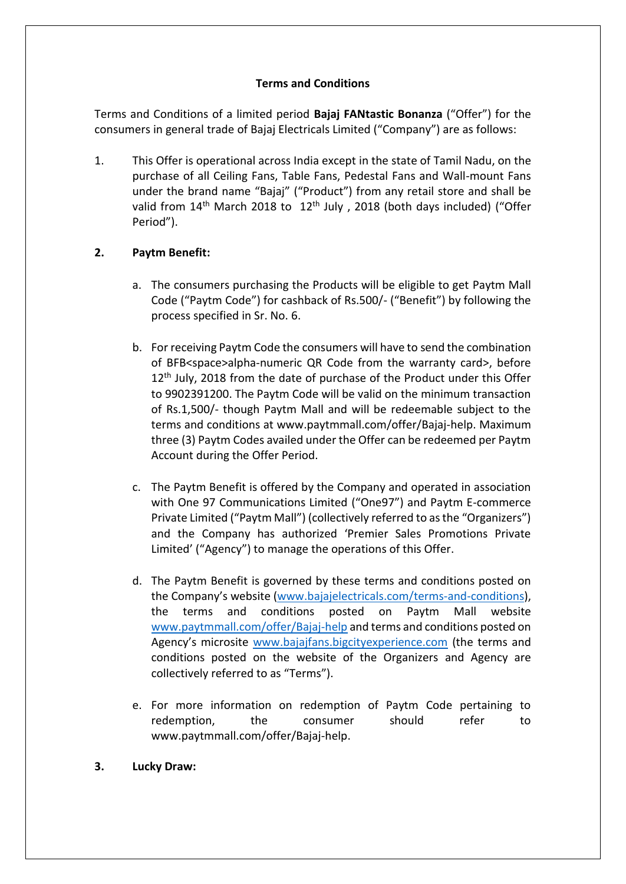## **Terms and Conditions**

Terms and Conditions of a limited period **Bajaj FANtastic Bonanza** ("Offer") for the consumers in general trade of Bajaj Electricals Limited ("Company") are as follows:

1. This Offer is operational across India except in the state of Tamil Nadu, on the purchase of all Ceiling Fans, Table Fans, Pedestal Fans and Wall-mount Fans under the brand name "Bajaj" ("Product") from any retail store and shall be valid from 14<sup>th</sup> March 2018 to 12<sup>th</sup> July, 2018 (both days included) ("Offer Period").

# **2. Paytm Benefit:**

- a. The consumers purchasing the Products will be eligible to get Paytm Mall Code ("Paytm Code") for cashback of Rs.500/- ("Benefit") by following the process specified in Sr. No. 6.
- b. For receiving Paytm Code the consumers will have to send the combination of BFB<space>alpha-numeric QR Code from the warranty card>, before 12<sup>th</sup> July, 2018 from the date of purchase of the Product under this Offer to 9902391200. The Paytm Code will be valid on the minimum transaction of Rs.1,500/- though Paytm Mall and will be redeemable subject to the terms and conditions at www.paytmmall.com/offer/Bajaj-help. Maximum three (3) Paytm Codes availed under the Offer can be redeemed per Paytm Account during the Offer Period.
- c. The Paytm Benefit is offered by the Company and operated in association with One 97 Communications Limited ("One97") and Paytm E-commerce Private Limited ("Paytm Mall") (collectively referred to as the "Organizers") and the Company has authorized 'Premier Sales Promotions Private Limited' ("Agency") to manage the operations of this Offer.
- d. The Paytm Benefit is governed by these terms and conditions posted on the Company's website [\(www.bajajelectricals.com/terms-and-conditions\)](http://www.bajajelectricals.com/terms-and-conditions), the terms and conditions posted on Paytm Mall website [www.paytmmall.com/offer/Bajaj-help](http://www.paytmmall.com/offer/Bajaj-help) and terms and conditions posted on Agency's microsite [www.bajajfans.bigcityexperience.com](http://www.bajajfans.bigcityexperience.com/) (the terms and conditions posted on the website of the Organizers and Agency are collectively referred to as "Terms").
- e. For more information on redemption of Paytm Code pertaining to redemption, the consumer should refer to [www.paytmmall.com/offer/Bajaj-help.](https://paytmmall.com/offer/alcon-help/)
- **3. Lucky Draw:**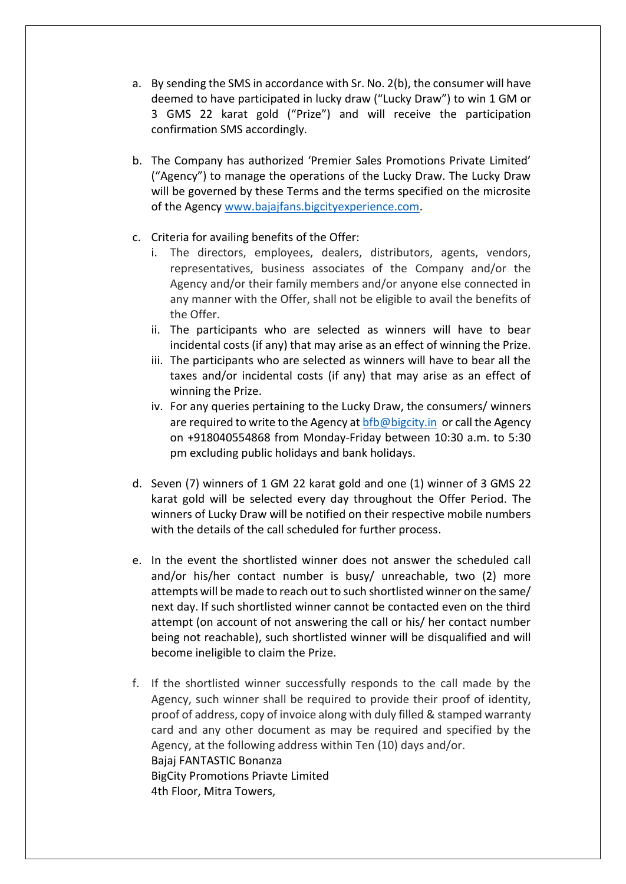- a. By sending the SMS in accordance with Sr. No. 2(b), the consumer will have deemed to have participated in lucky draw ("Lucky Draw") to win 1 GM or 3 GMS 22 karat gold ("Prize") and will receive the participation confirmation SMS accordingly.
- b. The Company has authorized 'Premier Sales Promotions Private Limited' ("Agency") to manage the operations of the Lucky Draw. The Lucky Draw will be governed by these Terms and the terms specified on the microsite of the Agency [www.bajajfans.bigcityexperience.com.](http://www.bajajfans.bigcityexperience.com/)
- c. Criteria for availing benefits of the Offer:
	- i. The directors, employees, dealers, distributors, agents, vendors, representatives, business associates of the Company and/or the Agency and/or their family members and/or anyone else connected in any manner with the Offer, shall not be eligible to avail the benefits of the Offer.
	- ii. The participants who are selected as winners will have to bear incidental costs (if any) that may arise as an effect of winning the Prize.
	- iii. The participants who are selected as winners will have to bear all the taxes and/or incidental costs (if any) that may arise as an effect of winning the Prize.
	- iv. For any queries pertaining to the Lucky Draw, the consumers/ winners are required to write to the Agency at [bfb@bigcity.in](mailto:bfb@bigcity.in) or call the Agency on +918040554868 from Monday-Friday between 10:30 a.m. to 5:30 pm excluding public holidays and bank holidays.
- d. Seven (7) winners of 1 GM 22 karat gold and one (1) winner of 3 GMS 22 karat gold will be selected every day throughout the Offer Period. The winners of Lucky Draw will be notified on their respective mobile numbers with the details of the call scheduled for further process.
- e. In the event the shortlisted winner does not answer the scheduled call and/or his/her contact number is busy/ unreachable, two (2) more attempts will be made to reach out to such shortlisted winner on the same/ next day. If such shortlisted winner cannot be contacted even on the third attempt (on account of not answering the call or his/ her contact number being not reachable), such shortlisted winner will be disqualified and will become ineligible to claim the Prize.
- f. If the shortlisted winner successfully responds to the call made by the Agency, such winner shall be required to provide their proof of identity, proof of address, copy of invoice along with duly filled & stamped warranty card and any other document as may be required and specified by the Agency, at the following address within Ten (10) days and/or. Bajaj FANTASTIC Bonanza BigCity Promotions Priavte Limited 4th Floor, Mitra Towers,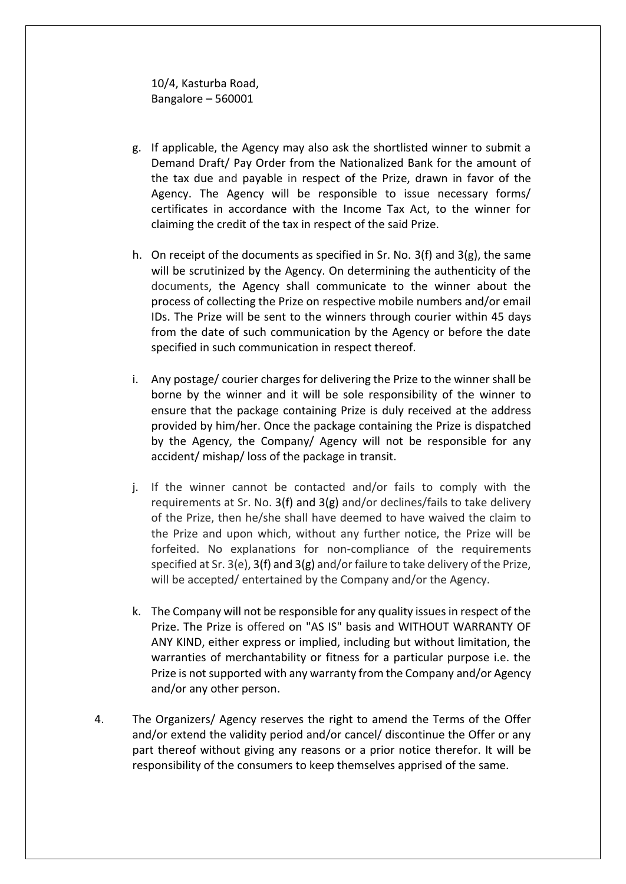10/4, Kasturba Road, Bangalore – 560001

- g. If applicable, the Agency may also ask the shortlisted winner to submit a Demand Draft/ Pay Order from the Nationalized Bank for the amount of the tax due and payable in respect of the Prize, drawn in favor of the Agency. The Agency will be responsible to issue necessary forms/ certificates in accordance with the Income Tax Act, to the winner for claiming the credit of the tax in respect of the said Prize.
- h. On receipt of the documents as specified in Sr. No. 3(f) and 3(g), the same will be scrutinized by the Agency. On determining the authenticity of the documents, the Agency shall communicate to the winner about the process of collecting the Prize on respective mobile numbers and/or email IDs. The Prize will be sent to the winners through courier within 45 days from the date of such communication by the Agency or before the date specified in such communication in respect thereof.
- i. Any postage/ courier charges for delivering the Prize to the winner shall be borne by the winner and it will be sole responsibility of the winner to ensure that the package containing Prize is duly received at the address provided by him/her. Once the package containing the Prize is dispatched by the Agency, the Company/ Agency will not be responsible for any accident/ mishap/ loss of the package in transit.
- j. If the winner cannot be contacted and/or fails to comply with the requirements at Sr. No. 3(f) and 3(g) and/or declines/fails to take delivery of the Prize, then he/she shall have deemed to have waived the claim to the Prize and upon which, without any further notice, the Prize will be forfeited. No explanations for non-compliance of the requirements specified at Sr. 3(e), 3(f) and 3(g) and/or failure to take delivery of the Prize, will be accepted/ entertained by the Company and/or the Agency.
- k. The Company will not be responsible for any quality issues in respect of the Prize. The Prize is offered on "AS IS" basis and WITHOUT WARRANTY OF ANY KIND, either express or implied, including but without limitation, the warranties of merchantability or fitness for a particular purpose i.e. the Prize is not supported with any warranty from the Company and/or Agency and/or any other person.
- 4. The Organizers/ Agency reserves the right to amend the Terms of the Offer and/or extend the validity period and/or cancel/ discontinue the Offer or any part thereof without giving any reasons or a prior notice therefor. It will be responsibility of the consumers to keep themselves apprised of the same.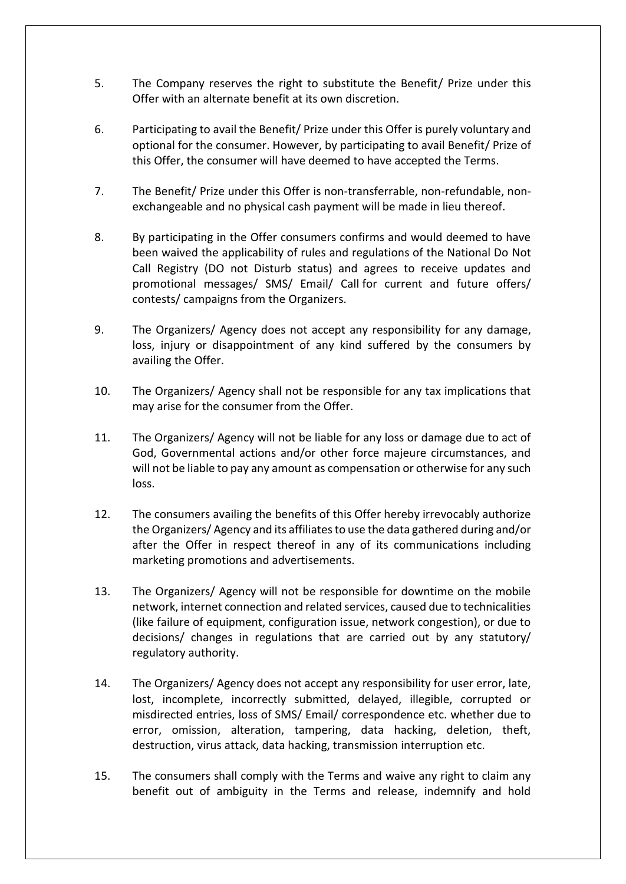- 5. The Company reserves the right to substitute the Benefit/ Prize under this Offer with an alternate benefit at its own discretion.
- 6. Participating to avail the Benefit/ Prize under this Offer is purely voluntary and optional for the consumer. However, by participating to avail Benefit/ Prize of this Offer, the consumer will have deemed to have accepted the Terms.
- 7. The Benefit/ Prize under this Offer is non-transferrable, non-refundable, nonexchangeable and no physical cash payment will be made in lieu thereof.
- 8. By participating in the Offer consumers confirms and would deemed to have been waived the applicability of rules and regulations of the National Do Not Call Registry (DO not Disturb status) and agrees to receive updates and promotional messages/ SMS/ Email/ Call for current and future offers/ contests/ campaigns from the Organizers.
- 9. The Organizers/ Agency does not accept any responsibility for any damage, loss, injury or disappointment of any kind suffered by the consumers by availing the Offer.
- 10. The Organizers/ Agency shall not be responsible for any tax implications that may arise for the consumer from the Offer.
- 11. The Organizers/ Agency will not be liable for any loss or damage due to act of God, Governmental actions and/or other force majeure circumstances, and will not be liable to pay any amount as compensation or otherwise for any such loss.
- 12. The consumers availing the benefits of this Offer hereby irrevocably authorize the Organizers/ Agency and its affiliates to use the data gathered during and/or after the Offer in respect thereof in any of its communications including marketing promotions and advertisements.
- 13. The Organizers/ Agency will not be responsible for downtime on the mobile network, internet connection and related services, caused due to technicalities (like failure of equipment, configuration issue, network congestion), or due to decisions/ changes in regulations that are carried out by any statutory/ regulatory authority.
- 14. The Organizers/ Agency does not accept any responsibility for user error, late, lost, incomplete, incorrectly submitted, delayed, illegible, corrupted or misdirected entries, loss of SMS/ Email/ correspondence etc. whether due to error, omission, alteration, tampering, data hacking, deletion, theft, destruction, virus attack, data hacking, transmission interruption etc.
- 15. The consumers shall comply with the Terms and waive any right to claim any benefit out of ambiguity in the Terms and release, indemnify and hold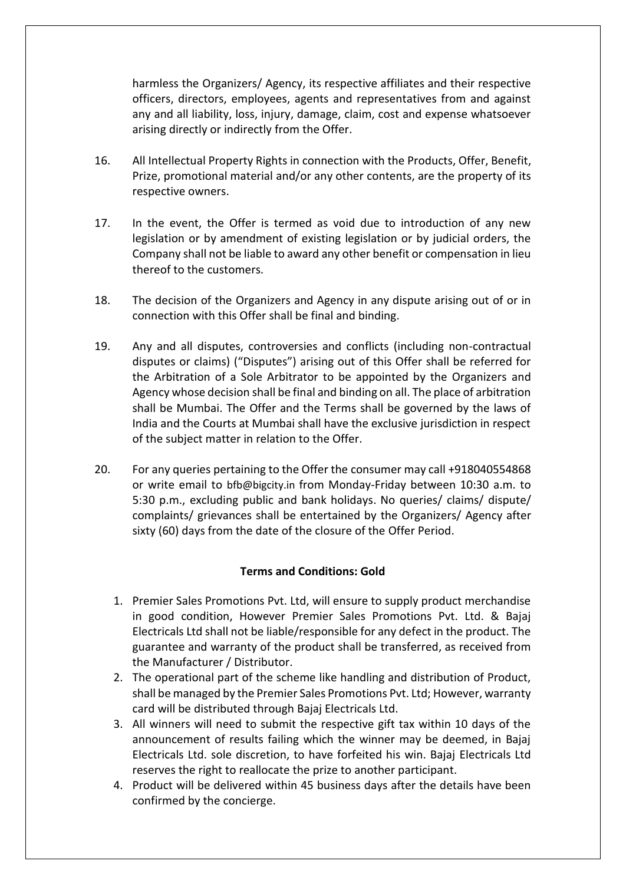harmless the Organizers/ Agency, its respective affiliates and their respective officers, directors, employees, agents and representatives from and against any and all liability, loss, injury, damage, claim, cost and expense whatsoever arising directly or indirectly from the Offer.

- 16. All Intellectual Property Rights in connection with the Products, Offer, Benefit, Prize, promotional material and/or any other contents, are the property of its respective owners.
- 17. In the event, the Offer is termed as void due to introduction of any new legislation or by amendment of existing legislation or by judicial orders, the Company shall not be liable to award any other benefit or compensation in lieu thereof to the customers.
- 18. The decision of the Organizers and Agency in any dispute arising out of or in connection with this Offer shall be final and binding.
- 19. Any and all disputes, controversies and conflicts (including non-contractual disputes or claims) ("Disputes") arising out of this Offer shall be referred for the Arbitration of a Sole Arbitrator to be appointed by the Organizers and Agency whose decision shall be final and binding on all. The place of arbitration shall be Mumbai. The Offer and the Terms shall be governed by the laws of India and the Courts at Mumbai shall have the exclusive jurisdiction in respect of the subject matter in relation to the Offer.
- 20. For any queries pertaining to the Offer the consumer may call +918040554868 or write email to [bfb@bigcity.in](mailto:bfb@bigcity.in) from Monday-Friday between 10:30 a.m. to 5:30 p.m., excluding public and bank holidays. No queries/ claims/ dispute/ complaints/ grievances shall be entertained by the Organizers/ Agency after sixty (60) days from the date of the closure of the Offer Period.

## **Terms and Conditions: Gold**

- 1. Premier Sales Promotions Pvt. Ltd, will ensure to supply product merchandise in good condition, However Premier Sales Promotions Pvt. Ltd. & Bajaj Electricals Ltd shall not be liable/responsible for any defect in the product. The guarantee and warranty of the product shall be transferred, as received from the Manufacturer / Distributor.
- 2. The operational part of the scheme like handling and distribution of Product, shall be managed by the Premier Sales Promotions Pvt. Ltd; However, warranty card will be distributed through Bajaj Electricals Ltd.
- 3. All winners will need to submit the respective gift tax within 10 days of the announcement of results failing which the winner may be deemed, in Bajaj Electricals Ltd. sole discretion, to have forfeited his win. Bajaj Electricals Ltd reserves the right to reallocate the prize to another participant.
- 4. Product will be delivered within 45 business days after the details have been confirmed by the concierge.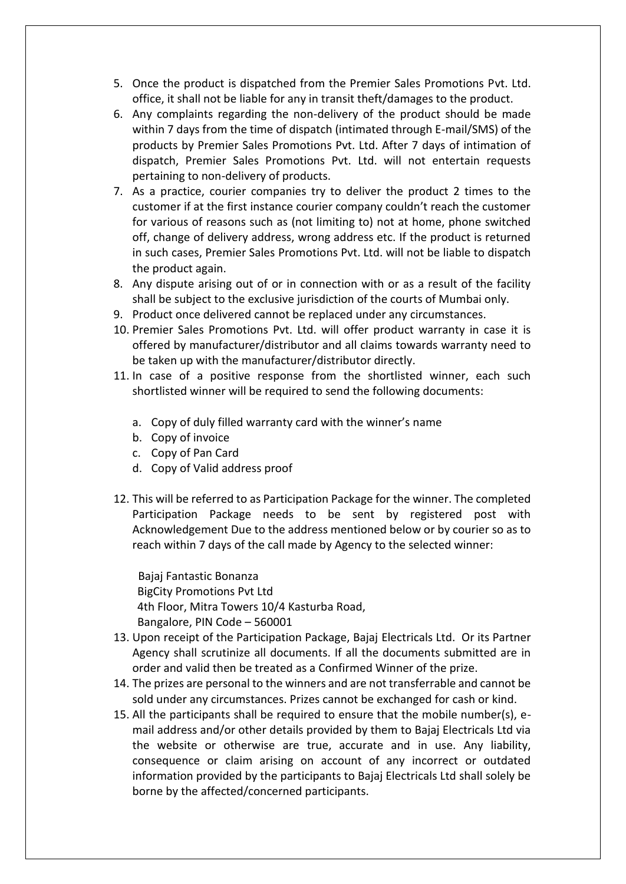- 5. Once the product is dispatched from the Premier Sales Promotions Pvt. Ltd. office, it shall not be liable for any in transit theft/damages to the product.
- 6. Any complaints regarding the non-delivery of the product should be made within 7 days from the time of dispatch (intimated through E-mail/SMS) of the products by Premier Sales Promotions Pvt. Ltd. After 7 days of intimation of dispatch, Premier Sales Promotions Pvt. Ltd. will not entertain requests pertaining to non-delivery of products.
- 7. As a practice, courier companies try to deliver the product 2 times to the customer if at the first instance courier company couldn't reach the customer for various of reasons such as (not limiting to) not at home, phone switched off, change of delivery address, wrong address etc. If the product is returned in such cases, Premier Sales Promotions Pvt. Ltd. will not be liable to dispatch the product again.
- 8. Any dispute arising out of or in connection with or as a result of the facility shall be subject to the exclusive jurisdiction of the courts of Mumbai only.
- 9. Product once delivered cannot be replaced under any circumstances.
- 10. Premier Sales Promotions Pvt. Ltd. will offer product warranty in case it is offered by manufacturer/distributor and all claims towards warranty need to be taken up with the manufacturer/distributor directly.
- 11. In case of a positive response from the shortlisted winner, each such shortlisted winner will be required to send the following documents:
	- a. Copy of duly filled warranty card with the winner's name
	- b. Copy of invoice
	- c. Copy of Pan Card
	- d. Copy of Valid address proof
- 12. This will be referred to as Participation Package for the winner. The completed Participation Package needs to be sent by registered post with Acknowledgement Due to the address mentioned below or by courier so as to reach within 7 days of the call made by Agency to the selected winner:

 Bajaj Fantastic Bonanza BigCity Promotions Pvt Ltd 4th Floor, Mitra Towers 10/4 Kasturba Road, Bangalore, PIN Code – 560001

- 13. Upon receipt of the Participation Package, Bajaj Electricals Ltd. Or its Partner Agency shall scrutinize all documents. If all the documents submitted are in order and valid then be treated as a Confirmed Winner of the prize.
- 14. The prizes are personal to the winners and are not transferrable and cannot be sold under any circumstances. Prizes cannot be exchanged for cash or kind.
- 15. All the participants shall be required to ensure that the mobile number(s), email address and/or other details provided by them to Bajaj Electricals Ltd via the website or otherwise are true, accurate and in use. Any liability, consequence or claim arising on account of any incorrect or outdated information provided by the participants to Bajaj Electricals Ltd shall solely be borne by the affected/concerned participants.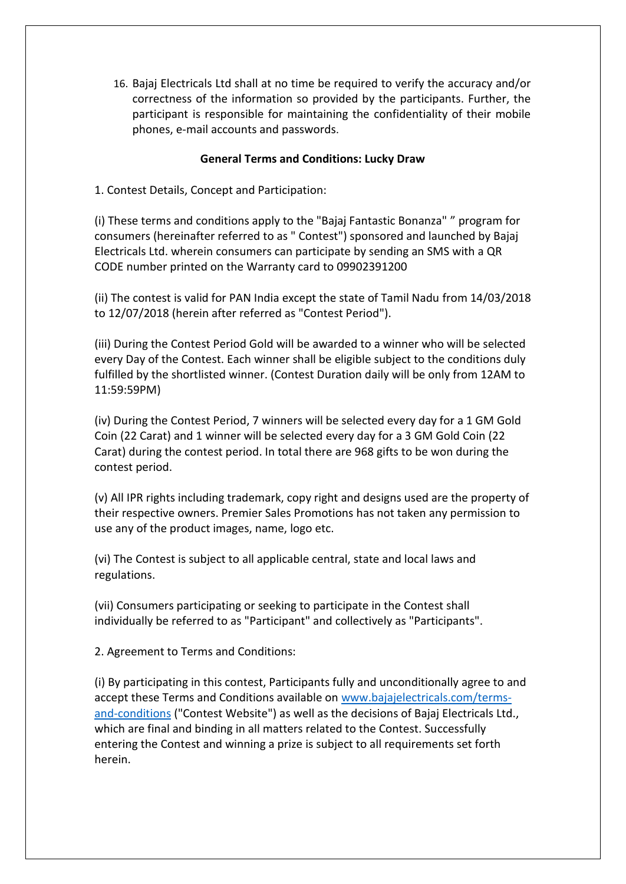16. Bajaj Electricals Ltd shall at no time be required to verify the accuracy and/or correctness of the information so provided by the participants. Further, the participant is responsible for maintaining the confidentiality of their mobile phones, e-mail accounts and passwords.

### **General Terms and Conditions: Lucky Draw**

1. Contest Details, Concept and Participation:

(i) These terms and conditions apply to the "Bajaj Fantastic Bonanza" " program for consumers (hereinafter referred to as " Contest") sponsored and launched by Bajaj Electricals Ltd. wherein consumers can participate by sending an SMS with a QR CODE number printed on the Warranty card to 09902391200

(ii) The contest is valid for PAN India except the state of Tamil Nadu from 14/03/2018 to 12/07/2018 (herein after referred as "Contest Period").

(iii) During the Contest Period Gold will be awarded to a winner who will be selected every Day of the Contest. Each winner shall be eligible subject to the conditions duly fulfilled by the shortlisted winner. (Contest Duration daily will be only from 12AM to 11:59:59PM)

(iv) During the Contest Period, 7 winners will be selected every day for a 1 GM Gold Coin (22 Carat) and 1 winner will be selected every day for a 3 GM Gold Coin (22 Carat) during the contest period. In total there are 968 gifts to be won during the contest period.

(v) All IPR rights including trademark, copy right and designs used are the property of their respective owners. Premier Sales Promotions has not taken any permission to use any of the product images, name, logo etc.

(vi) The Contest is subject to all applicable central, state and local laws and regulations.

(vii) Consumers participating or seeking to participate in the Contest shall individually be referred to as "Participant" and collectively as "Participants".

2. Agreement to Terms and Conditions:

(i) By participating in this contest, Participants fully and unconditionally agree to and accept these Terms and Conditions available on [www.bajajelectricals.com/terms](http://www.bajajelectricals.com/terms-and-conditions)[and-conditions](http://www.bajajelectricals.com/terms-and-conditions) ("Contest Website") as well as the decisions of Bajaj Electricals Ltd., which are final and binding in all matters related to the Contest. Successfully entering the Contest and winning a prize is subject to all requirements set forth herein.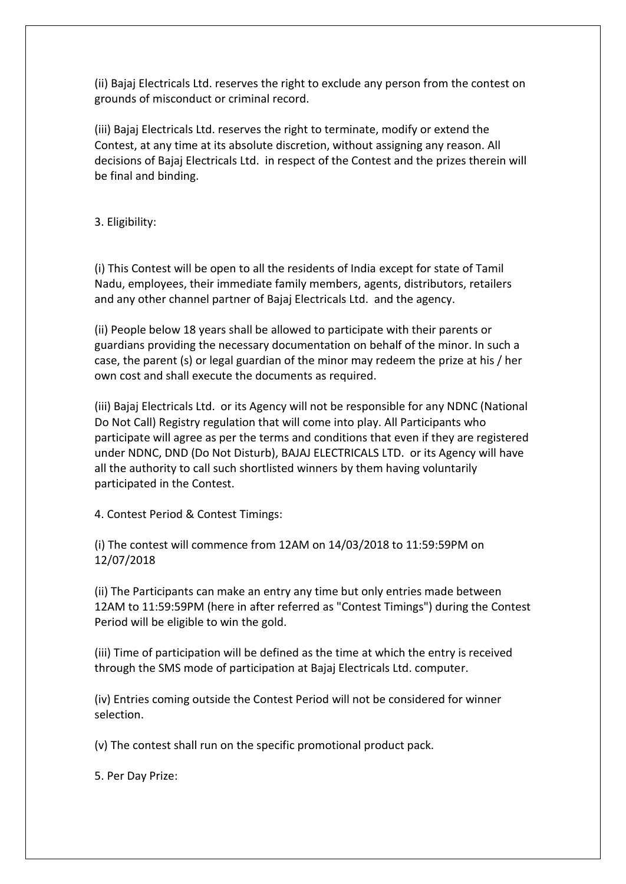(ii) Bajaj Electricals Ltd. reserves the right to exclude any person from the contest on grounds of misconduct or criminal record.

(iii) Bajaj Electricals Ltd. reserves the right to terminate, modify or extend the Contest, at any time at its absolute discretion, without assigning any reason. All decisions of Bajaj Electricals Ltd. in respect of the Contest and the prizes therein will be final and binding.

3. Eligibility:

(i) This Contest will be open to all the residents of India except for state of Tamil Nadu, employees, their immediate family members, agents, distributors, retailers and any other channel partner of Bajaj Electricals Ltd. and the agency.

(ii) People below 18 years shall be allowed to participate with their parents or guardians providing the necessary documentation on behalf of the minor. In such a case, the parent (s) or legal guardian of the minor may redeem the prize at his / her own cost and shall execute the documents as required.

(iii) Bajaj Electricals Ltd. or its Agency will not be responsible for any NDNC (National Do Not Call) Registry regulation that will come into play. All Participants who participate will agree as per the terms and conditions that even if they are registered under NDNC, DND (Do Not Disturb), BAJAJ ELECTRICALS LTD. or its Agency will have all the authority to call such shortlisted winners by them having voluntarily participated in the Contest.

4. Contest Period & Contest Timings:

(i) The contest will commence from 12AM on 14/03/2018 to 11:59:59PM on 12/07/2018

(ii) The Participants can make an entry any time but only entries made between 12AM to 11:59:59PM (here in after referred as "Contest Timings") during the Contest Period will be eligible to win the gold.

(iii) Time of participation will be defined as the time at which the entry is received through the SMS mode of participation at Bajaj Electricals Ltd. computer.

(iv) Entries coming outside the Contest Period will not be considered for winner selection.

(v) The contest shall run on the specific promotional product pack.

5. Per Day Prize: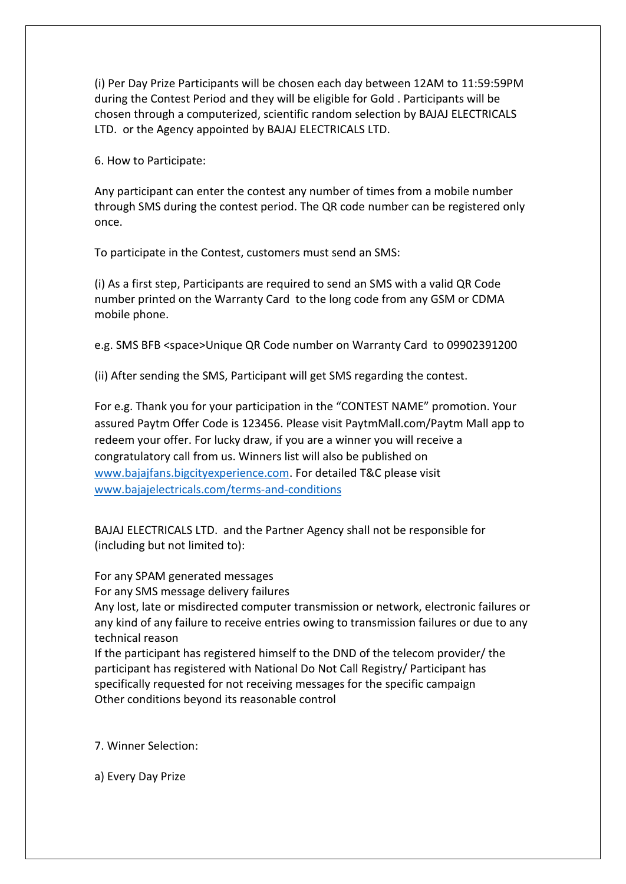(i) Per Day Prize Participants will be chosen each day between 12AM to 11:59:59PM during the Contest Period and they will be eligible for Gold . Participants will be chosen through a computerized, scientific random selection by BAJAJ ELECTRICALS LTD. or the Agency appointed by BAJAJ ELECTRICALS LTD.

6. How to Participate:

Any participant can enter the contest any number of times from a mobile number through SMS during the contest period. The QR code number can be registered only once.

To participate in the Contest, customers must send an SMS:

(i) As a first step, Participants are required to send an SMS with a valid QR Code number printed on the Warranty Card to the long code from any GSM or CDMA mobile phone.

e.g. SMS BFB <space>Unique QR Code number on Warranty Card to 09902391200

(ii) After sending the SMS, Participant will get SMS regarding the contest.

For e.g. Thank you for your participation in the "CONTEST NAME" promotion. Your assured Paytm Offer Code is 123456. Please visit PaytmMall.com/Paytm Mall app to redeem your offer. For lucky draw, if you are a winner you will receive a congratulatory call from us. Winners list will also be published on [www.bajajfans.bigcityexperience.com.](http://www.bajajfans.bigcityexperience.com/) For detailed T&C please visit [www.bajajelectricals.com/terms-and-conditions](http://www.bajajelectricals.com/terms-and-conditions)

BAJAJ ELECTRICALS LTD. and the Partner Agency shall not be responsible for (including but not limited to):

For any SPAM generated messages

For any SMS message delivery failures

Any lost, late or misdirected computer transmission or network, electronic failures or any kind of any failure to receive entries owing to transmission failures or due to any technical reason

If the participant has registered himself to the DND of the telecom provider/ the participant has registered with National Do Not Call Registry/ Participant has specifically requested for not receiving messages for the specific campaign Other conditions beyond its reasonable control

7. Winner Selection:

a) Every Day Prize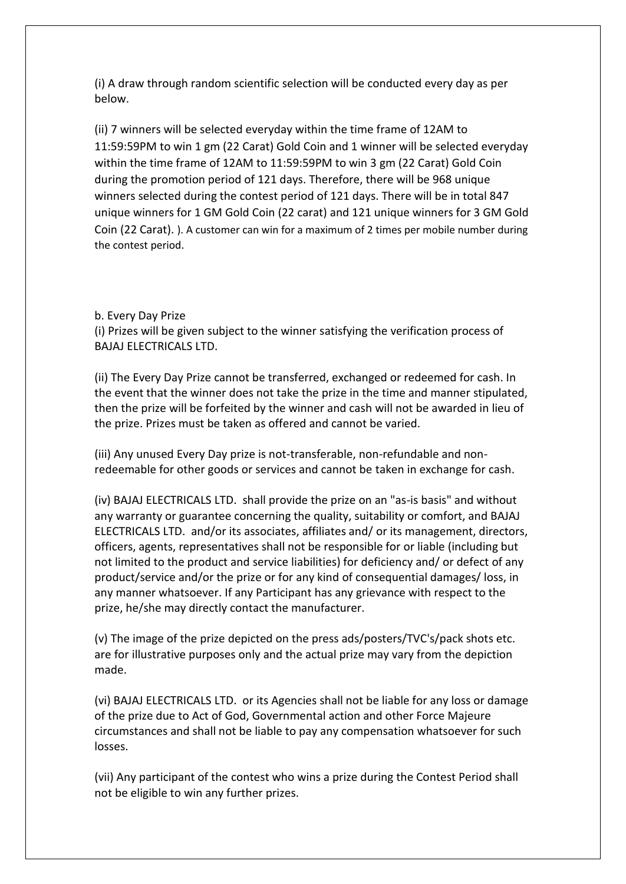(i) A draw through random scientific selection will be conducted every day as per below.

(ii) 7 winners will be selected everyday within the time frame of 12AM to 11:59:59PM to win 1 gm (22 Carat) Gold Coin and 1 winner will be selected everyday within the time frame of 12AM to 11:59:59PM to win 3 gm (22 Carat) Gold Coin during the promotion period of 121 days. Therefore, there will be 968 unique winners selected during the contest period of 121 days. There will be in total 847 unique winners for 1 GM Gold Coin (22 carat) and 121 unique winners for 3 GM Gold Coin (22 Carat). ). A customer can win for a maximum of 2 times per mobile number during the contest period.

b. Every Day Prize

(i) Prizes will be given subject to the winner satisfying the verification process of BAJAJ ELECTRICALS LTD.

(ii) The Every Day Prize cannot be transferred, exchanged or redeemed for cash. In the event that the winner does not take the prize in the time and manner stipulated, then the prize will be forfeited by the winner and cash will not be awarded in lieu of the prize. Prizes must be taken as offered and cannot be varied.

(iii) Any unused Every Day prize is not-transferable, non-refundable and nonredeemable for other goods or services and cannot be taken in exchange for cash.

(iv) BAJAJ ELECTRICALS LTD. shall provide the prize on an "as-is basis" and without any warranty or guarantee concerning the quality, suitability or comfort, and BAJAJ ELECTRICALS LTD. and/or its associates, affiliates and/ or its management, directors, officers, agents, representatives shall not be responsible for or liable (including but not limited to the product and service liabilities) for deficiency and/ or defect of any product/service and/or the prize or for any kind of consequential damages/ loss, in any manner whatsoever. If any Participant has any grievance with respect to the prize, he/she may directly contact the manufacturer.

(v) The image of the prize depicted on the press ads/posters/TVC's/pack shots etc. are for illustrative purposes only and the actual prize may vary from the depiction made.

(vi) BAJAJ ELECTRICALS LTD. or its Agencies shall not be liable for any loss or damage of the prize due to Act of God, Governmental action and other Force Majeure circumstances and shall not be liable to pay any compensation whatsoever for such losses.

(vii) Any participant of the contest who wins a prize during the Contest Period shall not be eligible to win any further prizes.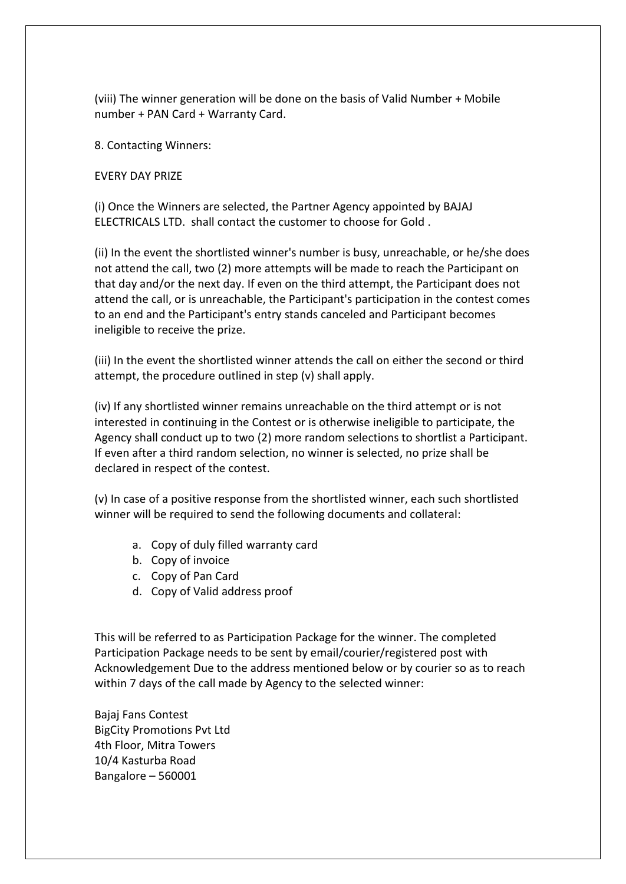(viii) The winner generation will be done on the basis of Valid Number + Mobile number + PAN Card + Warranty Card.

8. Contacting Winners:

EVERY DAY PRIZE

(i) Once the Winners are selected, the Partner Agency appointed by BAJAJ ELECTRICALS LTD. shall contact the customer to choose for Gold .

(ii) In the event the shortlisted winner's number is busy, unreachable, or he/she does not attend the call, two (2) more attempts will be made to reach the Participant on that day and/or the next day. If even on the third attempt, the Participant does not attend the call, or is unreachable, the Participant's participation in the contest comes to an end and the Participant's entry stands canceled and Participant becomes ineligible to receive the prize.

(iii) In the event the shortlisted winner attends the call on either the second or third attempt, the procedure outlined in step (v) shall apply.

(iv) If any shortlisted winner remains unreachable on the third attempt or is not interested in continuing in the Contest or is otherwise ineligible to participate, the Agency shall conduct up to two (2) more random selections to shortlist a Participant. If even after a third random selection, no winner is selected, no prize shall be declared in respect of the contest.

(v) In case of a positive response from the shortlisted winner, each such shortlisted winner will be required to send the following documents and collateral:

- a. Copy of duly filled warranty card
- b. Copy of invoice
- c. Copy of Pan Card
- d. Copy of Valid address proof

This will be referred to as Participation Package for the winner. The completed Participation Package needs to be sent by email/courier/registered post with Acknowledgement Due to the address mentioned below or by courier so as to reach within 7 days of the call made by Agency to the selected winner:

Bajaj Fans Contest BigCity Promotions Pvt Ltd 4th Floor, Mitra Towers 10/4 Kasturba Road Bangalore – 560001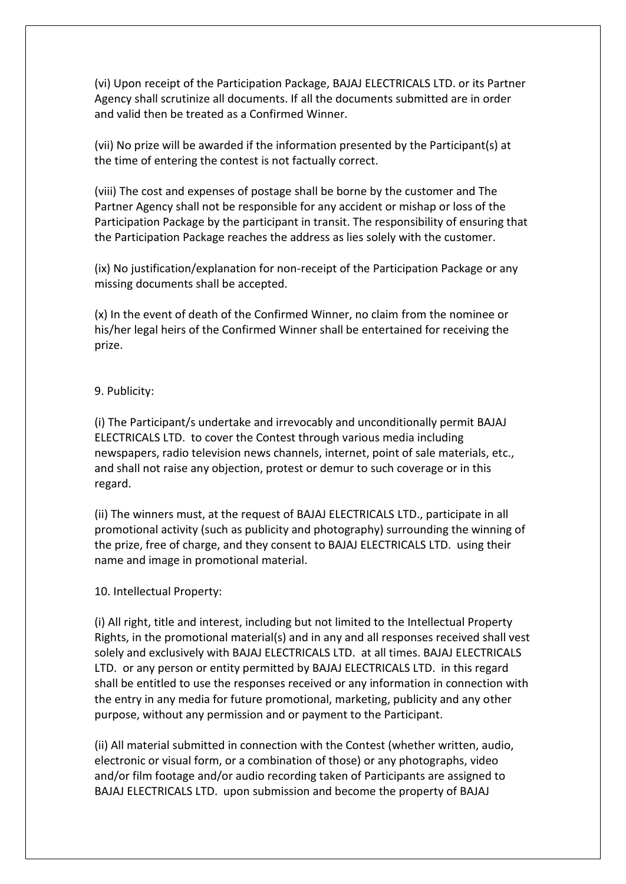(vi) Upon receipt of the Participation Package, BAJAJ ELECTRICALS LTD. or its Partner Agency shall scrutinize all documents. If all the documents submitted are in order and valid then be treated as a Confirmed Winner.

(vii) No prize will be awarded if the information presented by the Participant(s) at the time of entering the contest is not factually correct.

(viii) The cost and expenses of postage shall be borne by the customer and The Partner Agency shall not be responsible for any accident or mishap or loss of the Participation Package by the participant in transit. The responsibility of ensuring that the Participation Package reaches the address as lies solely with the customer.

(ix) No justification/explanation for non-receipt of the Participation Package or any missing documents shall be accepted.

(x) In the event of death of the Confirmed Winner, no claim from the nominee or his/her legal heirs of the Confirmed Winner shall be entertained for receiving the prize.

### 9. Publicity:

(i) The Participant/s undertake and irrevocably and unconditionally permit BAJAJ ELECTRICALS LTD. to cover the Contest through various media including newspapers, radio television news channels, internet, point of sale materials, etc., and shall not raise any objection, protest or demur to such coverage or in this regard.

(ii) The winners must, at the request of BAJAJ ELECTRICALS LTD., participate in all promotional activity (such as publicity and photography) surrounding the winning of the prize, free of charge, and they consent to BAJAJ ELECTRICALS LTD. using their name and image in promotional material.

#### 10. Intellectual Property:

(i) All right, title and interest, including but not limited to the Intellectual Property Rights, in the promotional material(s) and in any and all responses received shall vest solely and exclusively with BAJAJ ELECTRICALS LTD. at all times. BAJAJ ELECTRICALS LTD. or any person or entity permitted by BAJAJ ELECTRICALS LTD. in this regard shall be entitled to use the responses received or any information in connection with the entry in any media for future promotional, marketing, publicity and any other purpose, without any permission and or payment to the Participant.

(ii) All material submitted in connection with the Contest (whether written, audio, electronic or visual form, or a combination of those) or any photographs, video and/or film footage and/or audio recording taken of Participants are assigned to BAJAJ ELECTRICALS LTD. upon submission and become the property of BAJAJ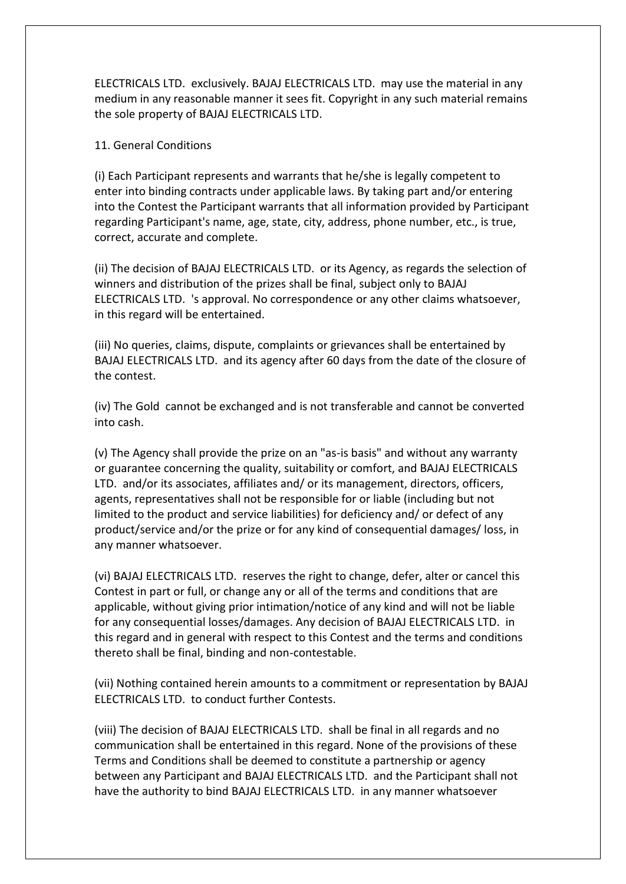ELECTRICALS LTD. exclusively. BAJAJ ELECTRICALS LTD. may use the material in any medium in any reasonable manner it sees fit. Copyright in any such material remains the sole property of BAJAJ ELECTRICALS LTD.

### 11. General Conditions

(i) Each Participant represents and warrants that he/she is legally competent to enter into binding contracts under applicable laws. By taking part and/or entering into the Contest the Participant warrants that all information provided by Participant regarding Participant's name, age, state, city, address, phone number, etc., is true, correct, accurate and complete.

(ii) The decision of BAJAJ ELECTRICALS LTD. or its Agency, as regards the selection of winners and distribution of the prizes shall be final, subject only to BAJAJ ELECTRICALS LTD. 's approval. No correspondence or any other claims whatsoever, in this regard will be entertained.

(iii) No queries, claims, dispute, complaints or grievances shall be entertained by BAJAJ ELECTRICALS LTD. and its agency after 60 days from the date of the closure of the contest.

(iv) The Gold cannot be exchanged and is not transferable and cannot be converted into cash.

(v) The Agency shall provide the prize on an "as-is basis" and without any warranty or guarantee concerning the quality, suitability or comfort, and BAJAJ ELECTRICALS LTD. and/or its associates, affiliates and/ or its management, directors, officers, agents, representatives shall not be responsible for or liable (including but not limited to the product and service liabilities) for deficiency and/ or defect of any product/service and/or the prize or for any kind of consequential damages/ loss, in any manner whatsoever.

(vi) BAJAJ ELECTRICALS LTD. reserves the right to change, defer, alter or cancel this Contest in part or full, or change any or all of the terms and conditions that are applicable, without giving prior intimation/notice of any kind and will not be liable for any consequential losses/damages. Any decision of BAJAJ ELECTRICALS LTD. in this regard and in general with respect to this Contest and the terms and conditions thereto shall be final, binding and non-contestable.

(vii) Nothing contained herein amounts to a commitment or representation by BAJAJ ELECTRICALS LTD. to conduct further Contests.

(viii) The decision of BAJAJ ELECTRICALS LTD. shall be final in all regards and no communication shall be entertained in this regard. None of the provisions of these Terms and Conditions shall be deemed to constitute a partnership or agency between any Participant and BAJAJ ELECTRICALS LTD. and the Participant shall not have the authority to bind BAJAJ ELECTRICALS LTD. in any manner whatsoever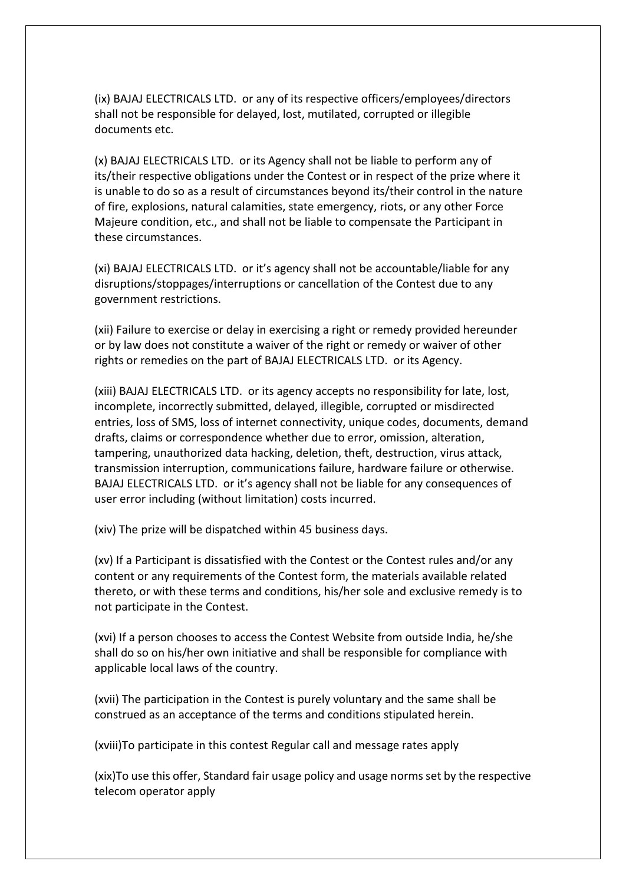(ix) BAJAJ ELECTRICALS LTD. or any of its respective officers/employees/directors shall not be responsible for delayed, lost, mutilated, corrupted or illegible documents etc.

(x) BAJAJ ELECTRICALS LTD. or its Agency shall not be liable to perform any of its/their respective obligations under the Contest or in respect of the prize where it is unable to do so as a result of circumstances beyond its/their control in the nature of fire, explosions, natural calamities, state emergency, riots, or any other Force Majeure condition, etc., and shall not be liable to compensate the Participant in these circumstances.

(xi) BAJAJ ELECTRICALS LTD. or it's agency shall not be accountable/liable for any disruptions/stoppages/interruptions or cancellation of the Contest due to any government restrictions.

(xii) Failure to exercise or delay in exercising a right or remedy provided hereunder or by law does not constitute a waiver of the right or remedy or waiver of other rights or remedies on the part of BAJAJ ELECTRICALS LTD. or its Agency.

(xiii) BAJAJ ELECTRICALS LTD. or its agency accepts no responsibility for late, lost, incomplete, incorrectly submitted, delayed, illegible, corrupted or misdirected entries, loss of SMS, loss of internet connectivity, unique codes, documents, demand drafts, claims or correspondence whether due to error, omission, alteration, tampering, unauthorized data hacking, deletion, theft, destruction, virus attack, transmission interruption, communications failure, hardware failure or otherwise. BAJAJ ELECTRICALS LTD. or it's agency shall not be liable for any consequences of user error including (without limitation) costs incurred.

(xiv) The prize will be dispatched within 45 business days.

(xv) If a Participant is dissatisfied with the Contest or the Contest rules and/or any content or any requirements of the Contest form, the materials available related thereto, or with these terms and conditions, his/her sole and exclusive remedy is to not participate in the Contest.

(xvi) If a person chooses to access the Contest Website from outside India, he/she shall do so on his/her own initiative and shall be responsible for compliance with applicable local laws of the country.

(xvii) The participation in the Contest is purely voluntary and the same shall be construed as an acceptance of the terms and conditions stipulated herein.

(xviii)To participate in this contest Regular call and message rates apply

(xix)To use this offer, Standard fair usage policy and usage norms set by the respective telecom operator apply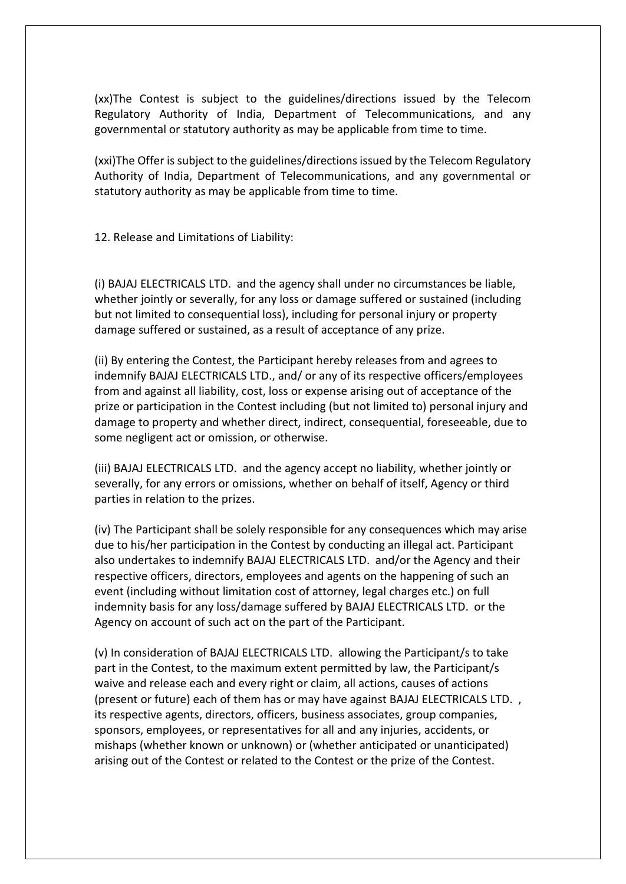(xx)The Contest is subject to the guidelines/directions issued by the Telecom Regulatory Authority of India, Department of Telecommunications, and any governmental or statutory authority as may be applicable from time to time.

(xxi)The Offer is subject to the guidelines/directions issued by the Telecom Regulatory Authority of India, Department of Telecommunications, and any governmental or statutory authority as may be applicable from time to time.

12. Release and Limitations of Liability:

(i) BAJAJ ELECTRICALS LTD. and the agency shall under no circumstances be liable, whether jointly or severally, for any loss or damage suffered or sustained (including but not limited to consequential loss), including for personal injury or property damage suffered or sustained, as a result of acceptance of any prize.

(ii) By entering the Contest, the Participant hereby releases from and agrees to indemnify BAJAJ ELECTRICALS LTD., and/ or any of its respective officers/employees from and against all liability, cost, loss or expense arising out of acceptance of the prize or participation in the Contest including (but not limited to) personal injury and damage to property and whether direct, indirect, consequential, foreseeable, due to some negligent act or omission, or otherwise.

(iii) BAJAJ ELECTRICALS LTD. and the agency accept no liability, whether jointly or severally, for any errors or omissions, whether on behalf of itself, Agency or third parties in relation to the prizes.

(iv) The Participant shall be solely responsible for any consequences which may arise due to his/her participation in the Contest by conducting an illegal act. Participant also undertakes to indemnify BAJAJ ELECTRICALS LTD. and/or the Agency and their respective officers, directors, employees and agents on the happening of such an event (including without limitation cost of attorney, legal charges etc.) on full indemnity basis for any loss/damage suffered by BAJAJ ELECTRICALS LTD. or the Agency on account of such act on the part of the Participant.

(v) In consideration of BAJAJ ELECTRICALS LTD. allowing the Participant/s to take part in the Contest, to the maximum extent permitted by law, the Participant/s waive and release each and every right or claim, all actions, causes of actions (present or future) each of them has or may have against BAJAJ ELECTRICALS LTD. , its respective agents, directors, officers, business associates, group companies, sponsors, employees, or representatives for all and any injuries, accidents, or mishaps (whether known or unknown) or (whether anticipated or unanticipated) arising out of the Contest or related to the Contest or the prize of the Contest.